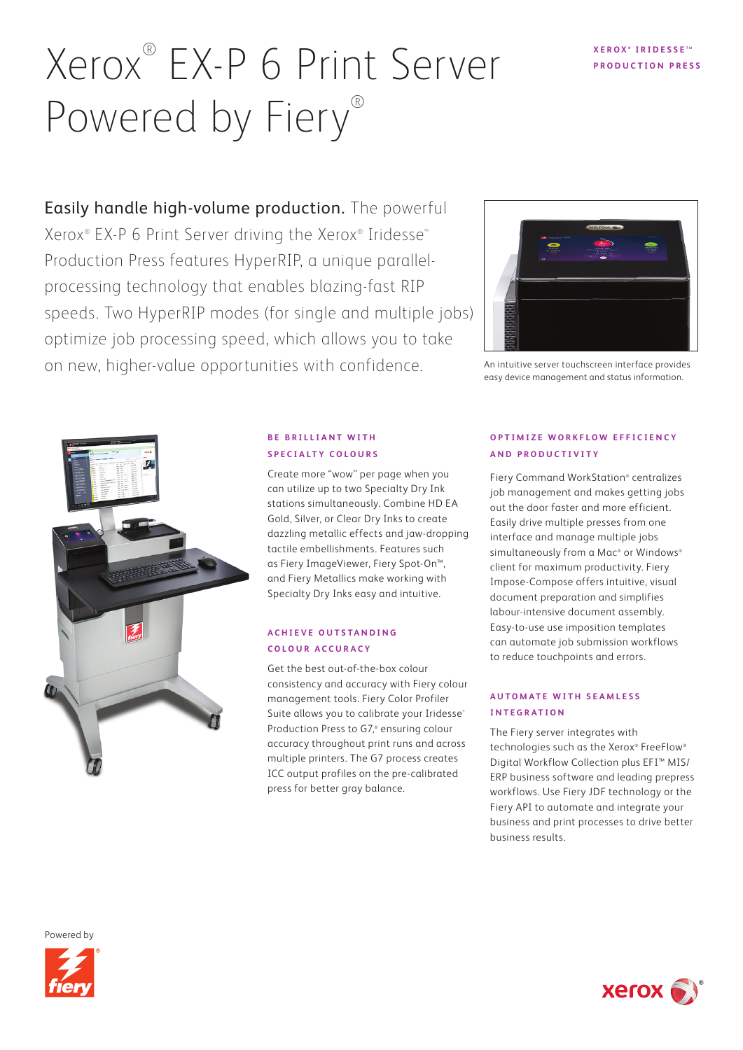# Xerox<sup>®</sup> EX-P 6 Print Server **PRODUCTION PRESSE** Powered by Fiery®

Easily handle high-volume production. The powerful Xerox® EX-P 6 Print Server driving the Xerox® Iridesse™ Production Press features HyperRIP, a unique parallelprocessing technology that enables blazing-fast RIP speeds. Two HyperRIP modes (for single and multiple jobs) optimize job processing speed, which allows you to take on new, higher-value opportunities with confidence.



An intuitive server touchscreen interface provides easy device management and status information.



# **BE BRILLIANT WITH SPECIALTY COLOURS**

Create more "wow" per page when you can utilize up to two Specialty Dry Ink stations simultaneously. Combine HD EA Gold, Silver, or Clear Dry Inks to create dazzling metallic effects and jaw-dropping tactile embellishments. Features such as Fiery ImageViewer, Fiery Spot-On™, and Fiery Metallics make working with Specialty Dry Inks easy and intuitive.

# **A C H I E V E O U T S TA N D I N G C O L O U R A C C U R A C Y**

Get the best out-of-the-box colour consistency and accuracy with Fiery colour management tools. Fiery Color Profiler Suite allows you to calibrate your Iridesse® Production Press to G7,® ensuring colour accuracy throughout print runs and across multiple printers. The G7 process creates ICC output profiles on the pre-calibrated press for better gray balance.

# **OPTIMIZE WORKFLOW EFFICIENCY AND PRODUCTIVITY**

Fiery Command WorkStation® centralizes job management and makes getting jobs out the door faster and more efficient. Easily drive multiple presses from one interface and manage multiple jobs simultaneously from a Mac® or Windows® client for maximum productivity. Fiery Impose-Compose offers intuitive, visual document preparation and simplifies labour-intensive document assembly. Easy-to-use use imposition templates can automate job submission workflows to reduce touchpoints and errors.

# **AUTOMATE WITH SEAMLESS INTEGRATION**

The Fiery server integrates with technologies such as the Xerox® FreeFlow® Digital Workflow Collection plus EFI™ MIS/ ERP business software and leading prepress workflows. Use Fiery JDF technology or the Fiery API to automate and integrate your business and print processes to drive better business results.

Powered by